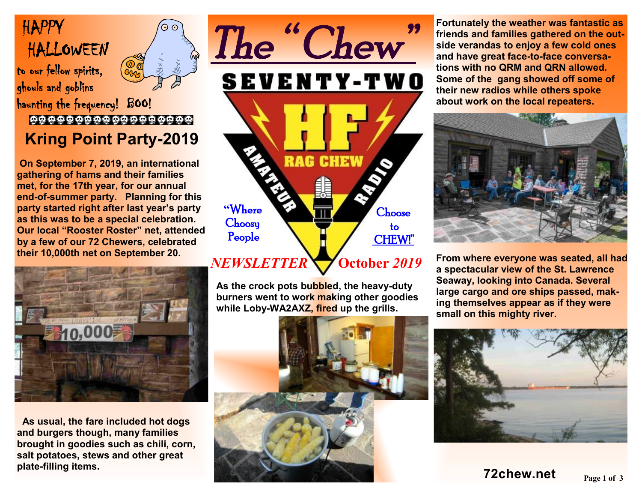# HAPPY HALLOWEEN

to our fellow spirits, ghouls and goblins



haunting the frequency! BOO!

## 000000000000000000  **Kring Point Party-2019**

 **On September 7, 2019, an international gathering of hams and their families met, for the 17th year, for our annual end-of-summer party. Planning for this party started right after last year's party as this was to be a special celebration. Our local "Rooster Roster" net, attended by a few of our 72 Chewers, celebrated their 10,000th net on September 20.** 



**As usual, the fare included hot dogs and burgers though, many families brought in goodies such as chili, corn, salt potatoes, stews and other great plate-filling items.** 



**As the crock pots bubbled, the heavy-duty burners went to work making other goodies while Loby-WA2AXZ, fired up the grills.** 



**Fortunately the weather was fantastic as friends and families gathered on the outside verandas to enjoy a few cold ones and have great face-to-face conversations with no QRM and QRN allowed. Some of the gang showed off some of their new radios while others spoke about work on the local repeaters.** 



**From where everyone was seated, all had a spectacular view of the St. Lawrence Seaway, looking into Canada. Several large cargo and ore ships passed, making themselves appear as if they were small on this mighty river.** 

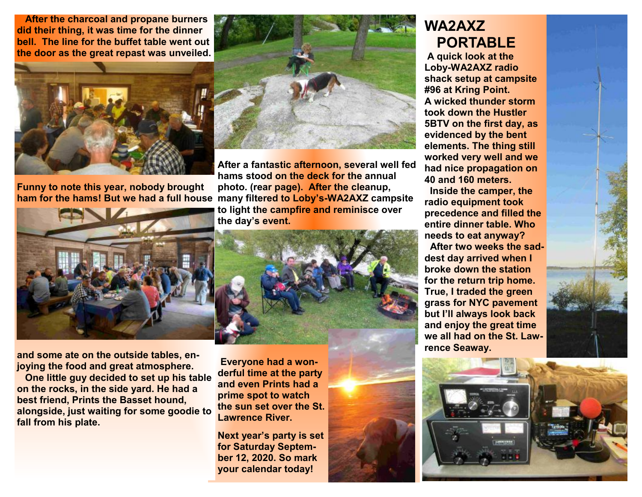**After the charcoal and propane burners did their thing, it was time for the dinner bell. The line for the buffet table went out the door as the great repast was unveiled.** 



**ham** for the hams! But we had a full house many filtered to Loby's-WA2AXZ campsite **Funny to note this year, nobody brought** 



**and some ate on the outside tables, enjoying the food and great atmosphere.** 

 **One little guy decided to set up his table on the rocks, in the side yard. He had a best friend, Prints the Basset hound, alongside, just waiting for some goodie to fall from his plate.** 



**After a fantastic afternoon, several well fed hams stood on the deck for the annual photo. (rear page). After the cleanup, to light the campfire and reminisce over the day's event.** 



 **Everyone had a wonderful time at the party and even Prints had a prime spot to watch the sun set over the St. Lawrence River.** 

**Next year's party is set for Saturday September 12, 2020. So mark your calendar today!** 

## **WA2AXZ PORTABLE**

**A quick look at the Loby-WA2AXZ radio shack setup at campsite #96 at Kring Point. A wicked thunder storm took down the Hustler 5BTV on the first day, as evidenced by the bent elements. The thing still worked very well and we had nice propagation on 40 and 160 meters.** 

 **Inside the camper, the radio equipment took precedence and filled the entire dinner table. Who needs to eat anyway? After two weeks the saddest day arrived when I broke down the station for the return trip home. True, I traded the green grass for NYC pavement but I'll always look back and enjoy the great time we all had on the St. Lawrence Seaway.**